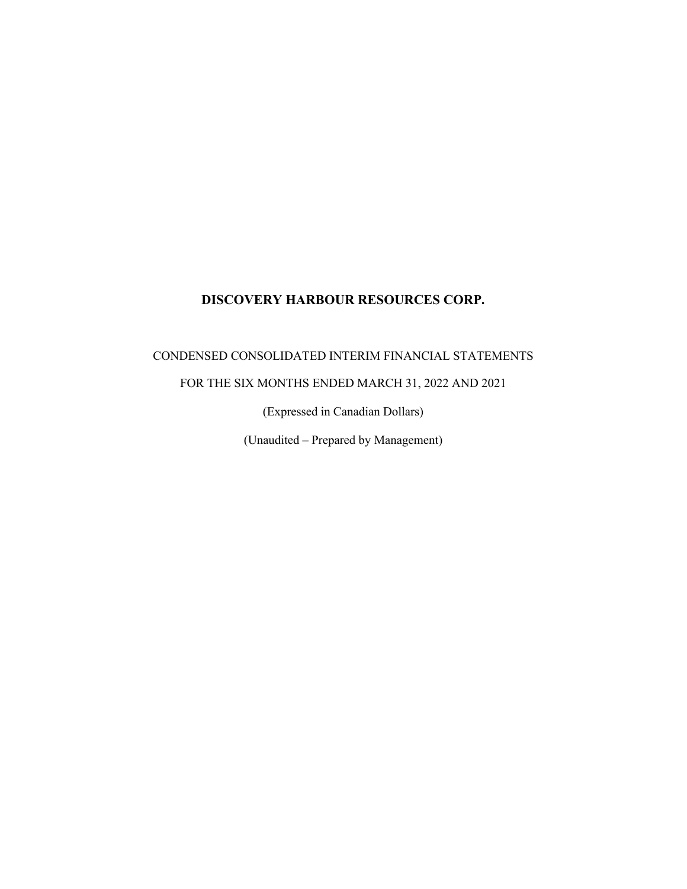## CONDENSED CONSOLIDATED INTERIM FINANCIAL STATEMENTS

## FOR THE SIX MONTHS ENDED MARCH 31, 2022 AND 2021

(Expressed in Canadian Dollars)

(Unaudited – Prepared by Management)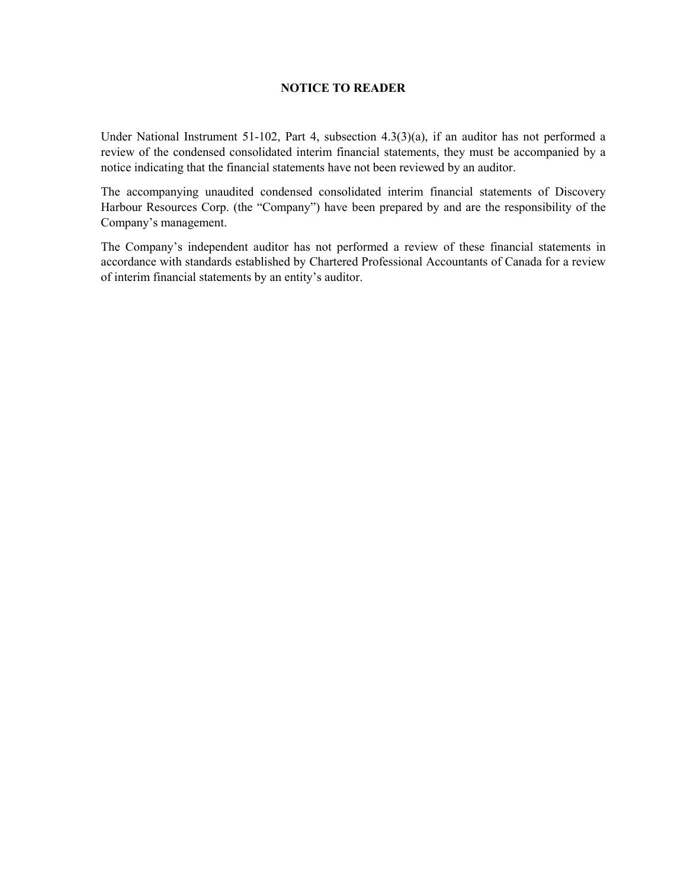## **NOTICE TO READER**

Under National Instrument 51-102, Part 4, subsection 4.3(3)(a), if an auditor has not performed a review of the condensed consolidated interim financial statements, they must be accompanied by a notice indicating that the financial statements have not been reviewed by an auditor.

The accompanying unaudited condensed consolidated interim financial statements of Discovery Harbour Resources Corp. (the "Company") have been prepared by and are the responsibility of the Company's management.

The Company's independent auditor has not performed a review of these financial statements in accordance with standards established by Chartered Professional Accountants of Canada for a review of interim financial statements by an entity's auditor.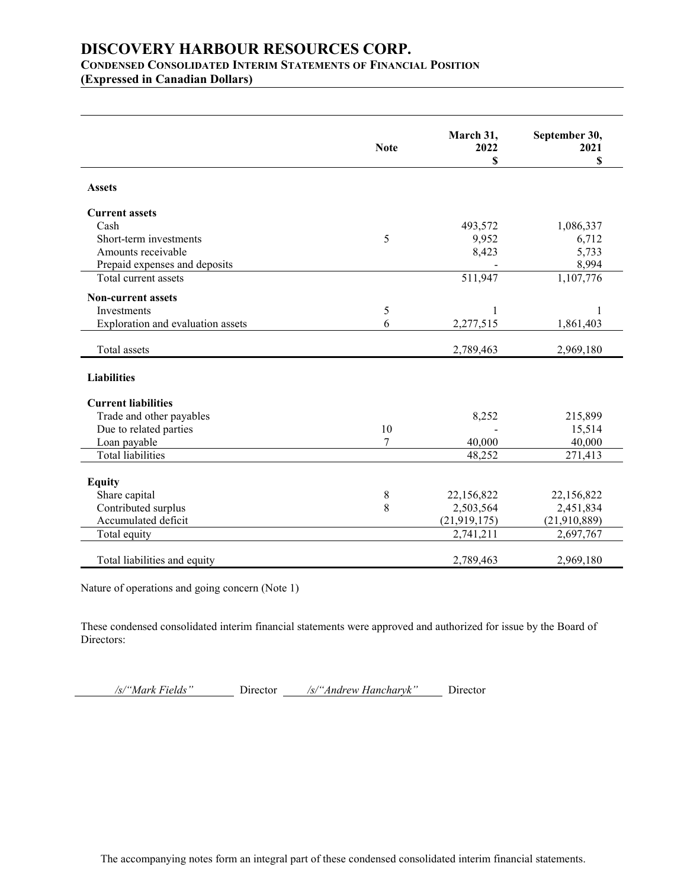## **CONDENSED CONSOLIDATED INTERIM STATEMENTSOF FINANCIAL POSITION**

**(Expressed in Canadian Dollars)**

|                                   |                | March 31,      |                       |
|-----------------------------------|----------------|----------------|-----------------------|
|                                   | <b>Note</b>    | 2022           | September 30,<br>2021 |
|                                   |                | \$             | S                     |
|                                   |                |                |                       |
| <b>Assets</b>                     |                |                |                       |
| <b>Current assets</b>             |                |                |                       |
| Cash                              |                | 493,572        | 1,086,337             |
| Short-term investments            | 5              | 9,952          | 6,712                 |
| Amounts receivable                |                | 8,423          | 5,733                 |
| Prepaid expenses and deposits     |                |                | 8,994                 |
| Total current assets              |                | 511,947        | 1,107,776             |
| <b>Non-current assets</b>         |                |                |                       |
| Investments                       | 5              | $\mathbf{1}$   | 1                     |
| Exploration and evaluation assets | 6              | 2,277,515      | 1,861,403             |
|                                   |                |                |                       |
| Total assets                      |                | 2,789,463      | 2,969,180             |
| <b>Liabilities</b>                |                |                |                       |
|                                   |                |                |                       |
| <b>Current liabilities</b>        |                |                |                       |
| Trade and other payables          |                | 8,252          | 215,899               |
| Due to related parties            | 10             |                | 15,514                |
| Loan payable                      | $\overline{7}$ | 40,000         | 40,000                |
| <b>Total liabilities</b>          |                | 48,252         | 271,413               |
| <b>Equity</b>                     |                |                |                       |
| Share capital                     | $8\,$          | 22,156,822     | 22,156,822            |
| Contributed surplus               | 8              | 2,503,564      | 2,451,834             |
| Accumulated deficit               |                | (21, 919, 175) | (21,910,889)          |
| Total equity                      |                | 2,741,211      | 2,697,767             |
|                                   |                |                |                       |
| Total liabilities and equity      |                | 2,789,463      | 2,969,180             |

Nature of operations and going concern (Note 1)

These condensed consolidated interim financial statements were approved and authorized for issue by the Board of Directors:

*/s/"Mark Fields"* Director */s/"Andrew Hancharyk"* Director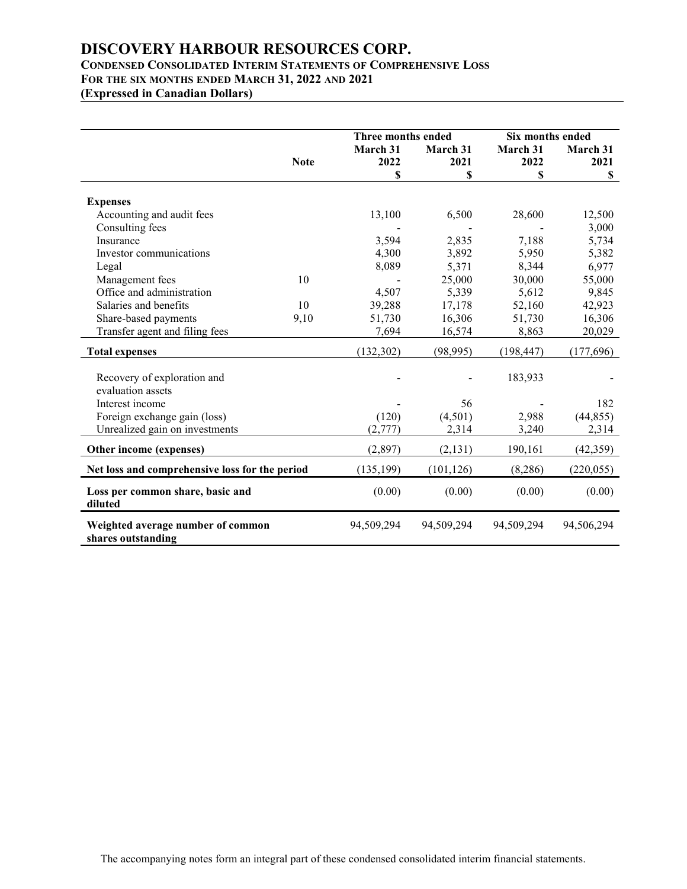## **CONDENSED CONSOLIDATED INTERIM STATEMENTSOF COMPREHENSIVE LOSS FOR THE SIX MONTHS ENDED MARCH 31, 2022 AND 2021**

**(Expressed in Canadian Dollars)**

|                                                         |             |            | Three months ended |            | Six months ended |  |
|---------------------------------------------------------|-------------|------------|--------------------|------------|------------------|--|
|                                                         |             | March 31   | March 31           | March 31   | March 31         |  |
|                                                         | <b>Note</b> | 2022       | 2021               | 2022       | 2021             |  |
|                                                         |             | \$         | S                  | S          | \$               |  |
|                                                         |             |            |                    |            |                  |  |
| <b>Expenses</b>                                         |             |            |                    |            |                  |  |
| Accounting and audit fees                               |             | 13,100     | 6,500              | 28,600     | 12,500           |  |
| Consulting fees                                         |             |            |                    |            | 3,000            |  |
| Insurance                                               |             | 3,594      | 2,835              | 7,188      | 5,734            |  |
| Investor communications                                 |             | 4,300      | 3,892              | 5,950      | 5,382            |  |
| Legal                                                   |             | 8,089      | 5,371              | 8,344      | 6,977            |  |
| Management fees                                         | 10          |            | 25,000             | 30,000     | 55,000           |  |
| Office and administration                               |             | 4,507      | 5,339              | 5,612      | 9,845            |  |
| Salaries and benefits                                   | 10          | 39,288     | 17,178             | 52,160     | 42,923           |  |
| Share-based payments                                    | 9,10        | 51,730     | 16,306             | 51,730     | 16,306           |  |
| Transfer agent and filing fees                          |             | 7,694      | 16,574             | 8,863      | 20,029           |  |
| <b>Total expenses</b>                                   |             | (132, 302) | (98, 995)          | (198, 447) | (177,696)        |  |
|                                                         |             |            |                    |            |                  |  |
| Recovery of exploration and<br>evaluation assets        |             |            |                    | 183,933    |                  |  |
|                                                         |             |            |                    |            |                  |  |
| Interest income                                         |             |            | 56                 |            | 182              |  |
| Foreign exchange gain (loss)                            |             | (120)      | (4,501)            | 2,988      | (44, 855)        |  |
| Unrealized gain on investments                          |             | (2,777)    | 2,314              | 3,240      | 2,314            |  |
| Other income (expenses)                                 |             | (2,897)    | (2, 131)           | 190,161    | (42,359)         |  |
| Net loss and comprehensive loss for the period          |             | (135, 199) | (101, 126)         | (8, 286)   | (220, 055)       |  |
| Loss per common share, basic and<br>diluted             |             | (0.00)     | (0.00)             | (0.00)     | (0.00)           |  |
| Weighted average number of common<br>shares outstanding |             | 94,509,294 | 94,509,294         | 94,509,294 | 94,506,294       |  |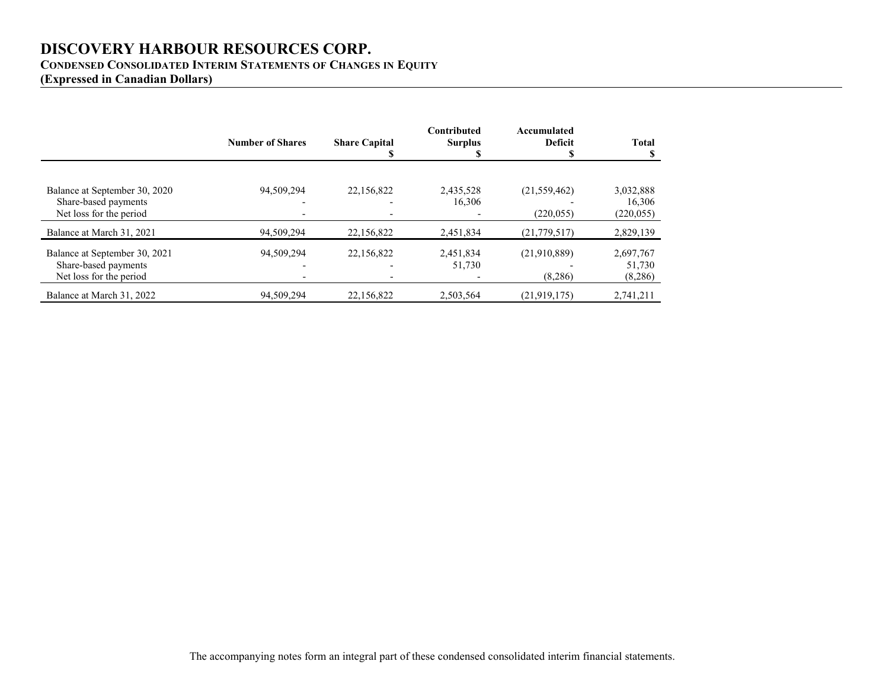## **CONDENSED CONSOLIDATED INTERIM STATEMENTSOF CHANGES IN EQUITY**

**(Expressed in Canadian Dollars)**

|                                                                                  | <b>Number of Shares</b> | <b>Share Capital</b> | Contributed<br><b>Surplus</b> | Accumulated<br><b>Deficit</b> | <b>Total</b>                      |
|----------------------------------------------------------------------------------|-------------------------|----------------------|-------------------------------|-------------------------------|-----------------------------------|
| Balance at September 30, 2020<br>Share-based payments<br>Net loss for the period | 94.509.294              | 22,156,822           | 2,435,528<br>16,306           | (21, 559, 462)<br>(220, 055)  | 3,032,888<br>16,306<br>(220, 055) |
| Balance at March 31, 2021                                                        | 94,509,294              | 22,156,822           | 2,451,834                     | (21, 779, 517)                | 2,829,139                         |
| Balance at September 30, 2021<br>Share-based payments<br>Net loss for the period | 94,509,294              | 22,156,822           | 2,451,834<br>51,730           | (21,910,889)<br>(8,286)       | 2,697,767<br>51,730<br>(8,286)    |
| Balance at March 31, 2022                                                        | 94,509,294              | 22,156,822           | 2,503,564                     | (21, 919, 175)                | 2,741,211                         |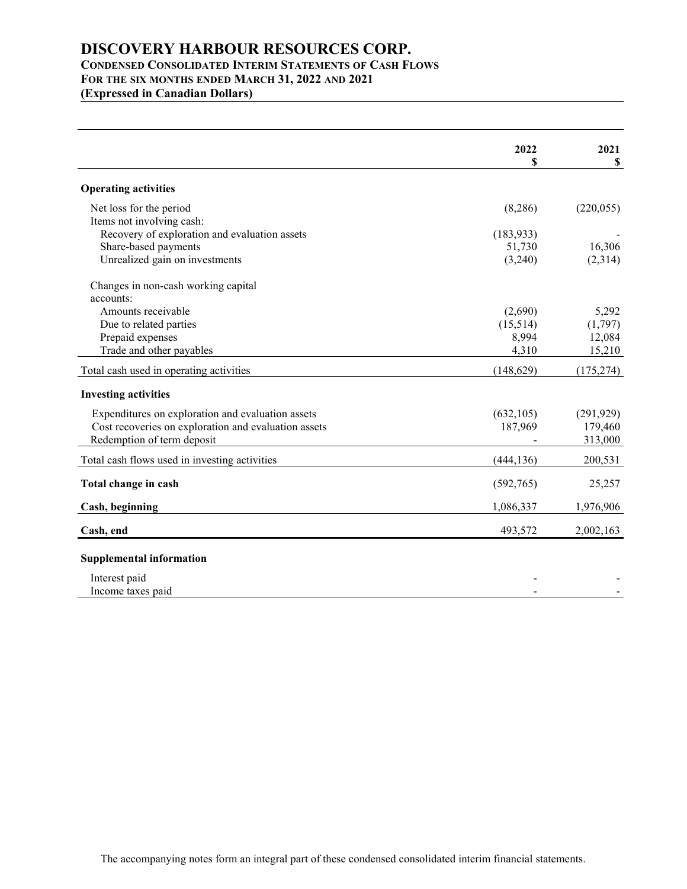## **CONDENSED CONSOLIDATED INTERIM STATEMENTSOF CASH FLOWS FOR THE SIX MONTHS ENDED MARCH 31, 2022 AND 2021**

**(Expressed in Canadian Dollars)**

|                                                      | 2022       | 2021       |
|------------------------------------------------------|------------|------------|
|                                                      | S          | \$         |
| <b>Operating activities</b>                          |            |            |
| Net loss for the period                              | (8,286)    | (220, 055) |
| Items not involving cash:                            |            |            |
| Recovery of exploration and evaluation assets        | (183, 933) |            |
| Share-based payments                                 | 51,730     | 16,306     |
| Unrealized gain on investments                       | (3,240)    | (2,314)    |
| Changes in non-cash working capital                  |            |            |
| accounts:                                            |            |            |
| Amounts receivable                                   | (2,690)    | 5,292      |
| Due to related parties                               | (15,514)   | (1,797)    |
| Prepaid expenses                                     | 8,994      | 12,084     |
| Trade and other payables                             | 4,310      | 15,210     |
| Total cash used in operating activities              | (148, 629) | (175, 274) |
| <b>Investing activities</b>                          |            |            |
| Expenditures on exploration and evaluation assets    | (632, 105) | (291, 929) |
| Cost recoveries on exploration and evaluation assets | 187,969    | 179,460    |
| Redemption of term deposit                           |            | 313,000    |
| Total cash flows used in investing activities        | (444, 136) | 200,531    |
| Total change in cash                                 | (592,765)  | 25,257     |
| Cash, beginning                                      | 1,086,337  | 1,976,906  |
| Cash, end                                            | 493,572    | 2,002,163  |
| <b>Supplemental information</b>                      |            |            |
|                                                      |            |            |
| Interest paid                                        |            |            |
| Income taxes paid                                    |            |            |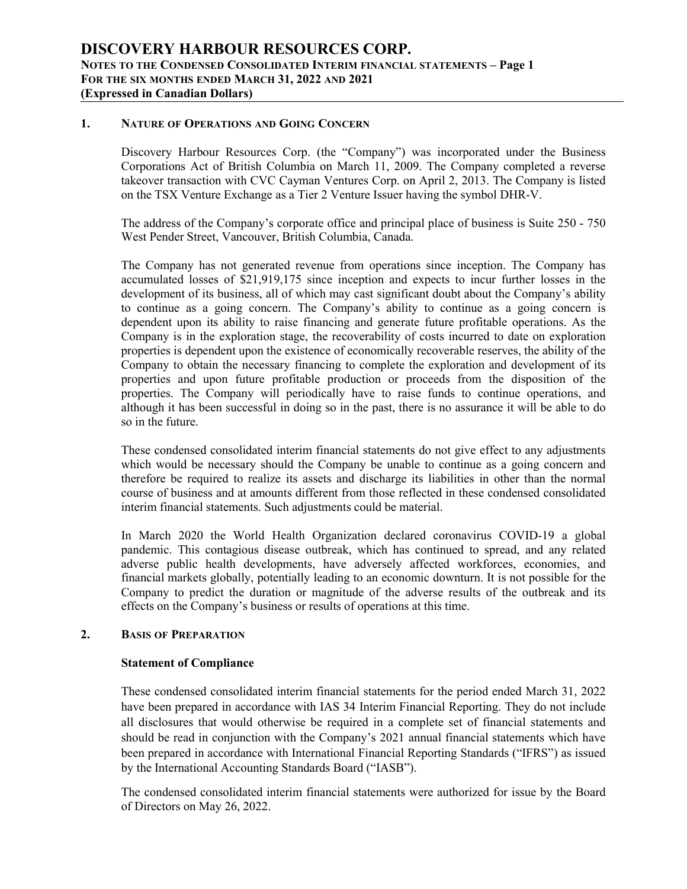## **1. NATURE OF OPERATIONS AND GOING CONCERN**

Discovery Harbour Resources Corp. (the "Company") was incorporated under the Business Corporations Act of British Columbia on March 11, 2009. The Company completed a reverse takeover transaction with CVC Cayman Ventures Corp. on April 2, 2013. The Company is listed on the TSX Venture Exchange as a Tier 2 Venture Issuer having the symbol DHR-V.

The address of the Company's corporate office and principal place of business is Suite 250 - 750 West Pender Street, Vancouver, British Columbia, Canada.

The Company has not generated revenue from operations since inception. The Company has accumulated losses of \$21,919,175 since inception and expects to incur further losses in the development of its business, all of which may cast significant doubt about the Company's ability to continue as a going concern. The Company's ability to continue as a going concern is dependent upon its ability to raise financing and generate future profitable operations. As the Company is in the exploration stage, the recoverability of costs incurred to date on exploration properties is dependent upon the existence of economically recoverable reserves, the ability of the Company to obtain the necessary financing to complete the exploration and development of its properties and upon future profitable production or proceeds from the disposition of the properties. The Company will periodically have to raise funds to continue operations, and although it has been successful in doing so in the past, there is no assurance it will be able to do so in the future.

These condensed consolidated interim financial statements do not give effect to any adjustments which would be necessary should the Company be unable to continue as a going concern and therefore be required to realize its assets and discharge its liabilities in other than the normal course of business and at amounts different from those reflected in these condensed consolidated interim financial statements. Such adjustments could be material.

In March 2020 the World Health Organization declared coronavirus COVID-19 aglobal pandemic. This contagious disease outbreak, which has continued to spread, and any related adverse public health developments, have adversely affected workforces, economies, and financial markets globally, potentially leading to an economic downturn. It is not possible for the Company to predict the duration or magnitude of the adverse results of the outbreak and its effects on the Company's business or results of operations at this time.

#### **2. BASIS OF PREPARATION**

#### **Statement of Compliance**

These condensed consolidated interim financial statements for the period ended March 31, 2022 have been prepared in accordance with IAS 34 Interim Financial Reporting. They do not include all disclosures that would otherwise be required in a complete set of financial statements and should be read in conjunction with the Company's 2021 annual financial statements which have been prepared in accordance with International Financial Reporting Standards ("IFRS") as issued by the International Accounting Standards Board ("IASB").

The condensed consolidated interim financial statements were authorized for issue by the Board of Directors on May 26, 2022.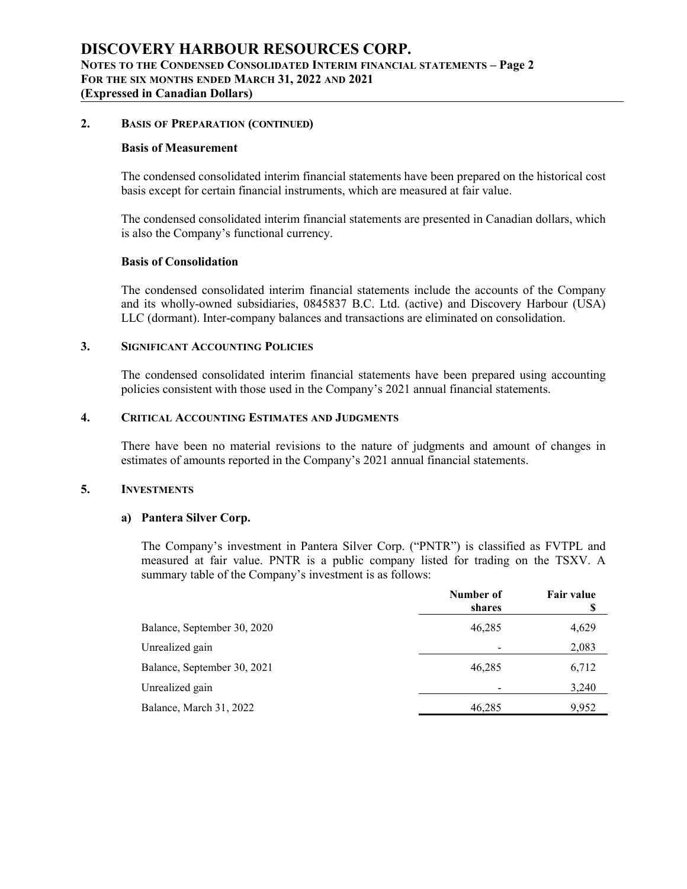## **2. BASIS OF PREPARATION (CONTINUED)**

#### **Basis of Measurement**

The condensed consolidated interim financial statements have been prepared on the historical cost basis except for certain financial instruments, which are measured at fair value.

The condensed consolidated interim financial statements are presented in Canadian dollars, which is also the Company's functional currency.

#### **Basis** of Consolidation

The condensed consolidated interim financial statements include the accounts of the Company and its wholly-owned subsidiaries, 0845837 B.C. Ltd. (active) and Discovery Harbour (USA) LLC (dormant). Inter-company balances and transactions are eliminated on consolidation.

## **3. SIGNIFICANT ACCOUNTING POLICIES**

The condensed consolidated interim financial statements have been prepared using accounting policies consistent with those used in the Company's 2021 annual financial statements.

#### **4. CRITICAL ACCOUNTING ESTIMATES AND JUDGMENTS**

There have been no material revisions to the nature of judgments and amount of changes in estimates of amounts reported in the Company's 2021 annual financial statements.

## **5. INVESTMENTS**

## **a) Pantera Silver Corp.**

The Company's investment in Pantera Silver Corp. ("PNTR") is classified as FVTPL and measured at fair value. PNTR is a public company listed for trading on the TSXV. A summary table of the Company's investment is as follows:

|                             | Number of<br>shares | Fair value |
|-----------------------------|---------------------|------------|
| Balance, September 30, 2020 | 46,285              | 4,629      |
| Unrealized gain             |                     | 2,083      |
| Balance, September 30, 2021 | 46,285              | 6,712      |
| Unrealized gain             |                     | 3,240      |
| Balance, March 31, 2022     | 46,285              | 9,952      |
|                             |                     |            |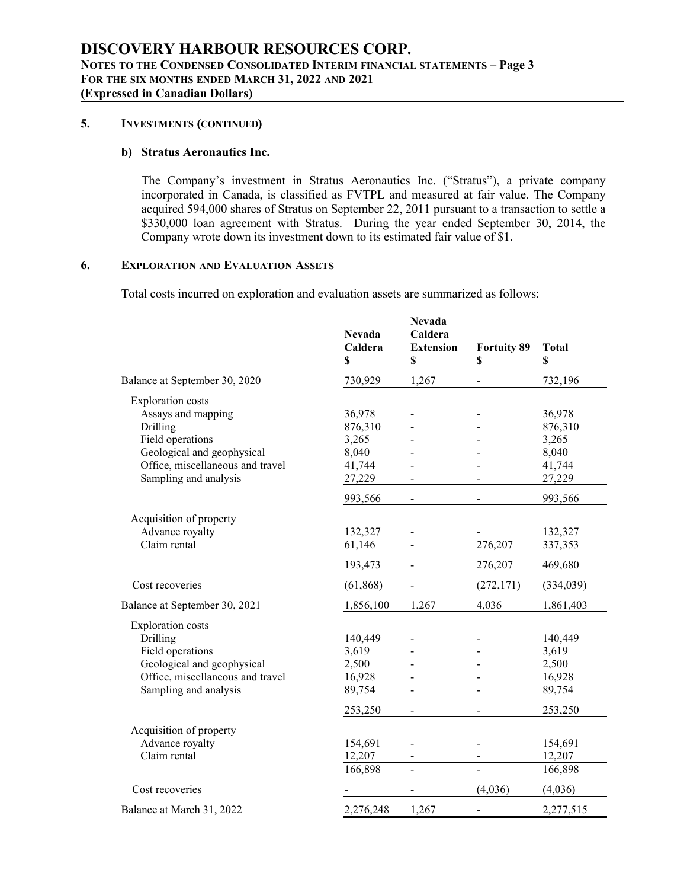## **5. INVESTMENTS (CONTINUED)**

## **b) Stratus Aeronautics Inc.**

The Company's investment in Stratus Aeronautics Inc. ("Stratus"), a private company incorporated in Canada, is classified as FVTPL and measured at fair value. The Company acquired 594,000 shares of Stratus on September 22, 2011 pursuant to a transaction to settle a \$330,000 loan agreement with Stratus. During the year ended September 30, 2014, the Company wrote down its investment down to its estimated fair value of \$1.

## **6. EXPLORATION AND EVALUATION ASSETS**

Total costs incurred on exploration and evaluation assets are summarized as follows:

| 730,929<br>1,267<br>732,196<br>Balance at September 30, 2020<br><b>Exploration</b> costs<br>Assays and mapping<br>36,978<br>36,978<br>Drilling<br>876,310<br>876,310<br>Field operations<br>3,265<br>3,265<br>Geological and geophysical<br>8,040<br>8,040<br>Office, miscellaneous and travel<br>41,744<br>41,744<br>Sampling and analysis<br>27,229<br>27,229<br>993,566<br>993,566<br>$\overline{a}$<br>Acquisition of property<br>Advance royalty<br>132,327<br>132,327<br>Claim rental<br>276,207<br>61,146<br>337,353<br>193,473<br>276,207<br>469,680<br>Cost recoveries<br>(272, 171)<br>(61, 868)<br>(334, 039)<br>4,036<br>Balance at September 30, 2021<br>1,856,100<br>1,267<br>1,861,403<br><b>Exploration</b> costs<br>Drilling<br>140,449<br>140,449<br>Field operations<br>3,619<br>3,619<br>Geological and geophysical<br>2,500<br>2,500<br>Office, miscellaneous and travel<br>16,928<br>16,928<br>Sampling and analysis<br>89,754<br>89,754<br>253,250<br>253,250<br>$\qquad \qquad \blacksquare$<br>Acquisition of property<br>Advance royalty<br>154,691<br>154,691<br>Claim rental<br>12,207<br>12,207<br>166,898<br>166,898<br>$\overline{a}$<br>Cost recoveries<br>(4,036)<br>(4,036)<br>$\blacksquare$ |                           | <b>Nevada</b><br>Caldera<br>$\mathbb S$ | <b>Nevada</b><br>Caldera<br><b>Extension</b><br>\$ | <b>Fortuity 89</b><br>\$ | <b>Total</b><br>\$ |
|---------------------------------------------------------------------------------------------------------------------------------------------------------------------------------------------------------------------------------------------------------------------------------------------------------------------------------------------------------------------------------------------------------------------------------------------------------------------------------------------------------------------------------------------------------------------------------------------------------------------------------------------------------------------------------------------------------------------------------------------------------------------------------------------------------------------------------------------------------------------------------------------------------------------------------------------------------------------------------------------------------------------------------------------------------------------------------------------------------------------------------------------------------------------------------------------------------------------------------|---------------------------|-----------------------------------------|----------------------------------------------------|--------------------------|--------------------|
|                                                                                                                                                                                                                                                                                                                                                                                                                                                                                                                                                                                                                                                                                                                                                                                                                                                                                                                                                                                                                                                                                                                                                                                                                                 |                           |                                         |                                                    |                          |                    |
|                                                                                                                                                                                                                                                                                                                                                                                                                                                                                                                                                                                                                                                                                                                                                                                                                                                                                                                                                                                                                                                                                                                                                                                                                                 |                           |                                         |                                                    |                          |                    |
|                                                                                                                                                                                                                                                                                                                                                                                                                                                                                                                                                                                                                                                                                                                                                                                                                                                                                                                                                                                                                                                                                                                                                                                                                                 |                           |                                         |                                                    |                          |                    |
|                                                                                                                                                                                                                                                                                                                                                                                                                                                                                                                                                                                                                                                                                                                                                                                                                                                                                                                                                                                                                                                                                                                                                                                                                                 |                           |                                         |                                                    |                          |                    |
|                                                                                                                                                                                                                                                                                                                                                                                                                                                                                                                                                                                                                                                                                                                                                                                                                                                                                                                                                                                                                                                                                                                                                                                                                                 |                           |                                         |                                                    |                          |                    |
|                                                                                                                                                                                                                                                                                                                                                                                                                                                                                                                                                                                                                                                                                                                                                                                                                                                                                                                                                                                                                                                                                                                                                                                                                                 |                           |                                         |                                                    |                          |                    |
|                                                                                                                                                                                                                                                                                                                                                                                                                                                                                                                                                                                                                                                                                                                                                                                                                                                                                                                                                                                                                                                                                                                                                                                                                                 |                           |                                         |                                                    |                          |                    |
|                                                                                                                                                                                                                                                                                                                                                                                                                                                                                                                                                                                                                                                                                                                                                                                                                                                                                                                                                                                                                                                                                                                                                                                                                                 |                           |                                         |                                                    |                          |                    |
|                                                                                                                                                                                                                                                                                                                                                                                                                                                                                                                                                                                                                                                                                                                                                                                                                                                                                                                                                                                                                                                                                                                                                                                                                                 |                           |                                         |                                                    |                          |                    |
|                                                                                                                                                                                                                                                                                                                                                                                                                                                                                                                                                                                                                                                                                                                                                                                                                                                                                                                                                                                                                                                                                                                                                                                                                                 |                           |                                         |                                                    |                          |                    |
|                                                                                                                                                                                                                                                                                                                                                                                                                                                                                                                                                                                                                                                                                                                                                                                                                                                                                                                                                                                                                                                                                                                                                                                                                                 |                           |                                         |                                                    |                          |                    |
|                                                                                                                                                                                                                                                                                                                                                                                                                                                                                                                                                                                                                                                                                                                                                                                                                                                                                                                                                                                                                                                                                                                                                                                                                                 |                           |                                         |                                                    |                          |                    |
|                                                                                                                                                                                                                                                                                                                                                                                                                                                                                                                                                                                                                                                                                                                                                                                                                                                                                                                                                                                                                                                                                                                                                                                                                                 |                           |                                         |                                                    |                          |                    |
|                                                                                                                                                                                                                                                                                                                                                                                                                                                                                                                                                                                                                                                                                                                                                                                                                                                                                                                                                                                                                                                                                                                                                                                                                                 |                           |                                         |                                                    |                          |                    |
|                                                                                                                                                                                                                                                                                                                                                                                                                                                                                                                                                                                                                                                                                                                                                                                                                                                                                                                                                                                                                                                                                                                                                                                                                                 |                           |                                         |                                                    |                          |                    |
|                                                                                                                                                                                                                                                                                                                                                                                                                                                                                                                                                                                                                                                                                                                                                                                                                                                                                                                                                                                                                                                                                                                                                                                                                                 |                           |                                         |                                                    |                          |                    |
|                                                                                                                                                                                                                                                                                                                                                                                                                                                                                                                                                                                                                                                                                                                                                                                                                                                                                                                                                                                                                                                                                                                                                                                                                                 |                           |                                         |                                                    |                          |                    |
|                                                                                                                                                                                                                                                                                                                                                                                                                                                                                                                                                                                                                                                                                                                                                                                                                                                                                                                                                                                                                                                                                                                                                                                                                                 |                           |                                         |                                                    |                          |                    |
|                                                                                                                                                                                                                                                                                                                                                                                                                                                                                                                                                                                                                                                                                                                                                                                                                                                                                                                                                                                                                                                                                                                                                                                                                                 |                           |                                         |                                                    |                          |                    |
|                                                                                                                                                                                                                                                                                                                                                                                                                                                                                                                                                                                                                                                                                                                                                                                                                                                                                                                                                                                                                                                                                                                                                                                                                                 |                           |                                         |                                                    |                          |                    |
|                                                                                                                                                                                                                                                                                                                                                                                                                                                                                                                                                                                                                                                                                                                                                                                                                                                                                                                                                                                                                                                                                                                                                                                                                                 |                           |                                         |                                                    |                          |                    |
|                                                                                                                                                                                                                                                                                                                                                                                                                                                                                                                                                                                                                                                                                                                                                                                                                                                                                                                                                                                                                                                                                                                                                                                                                                 |                           |                                         |                                                    |                          |                    |
|                                                                                                                                                                                                                                                                                                                                                                                                                                                                                                                                                                                                                                                                                                                                                                                                                                                                                                                                                                                                                                                                                                                                                                                                                                 |                           |                                         |                                                    |                          |                    |
|                                                                                                                                                                                                                                                                                                                                                                                                                                                                                                                                                                                                                                                                                                                                                                                                                                                                                                                                                                                                                                                                                                                                                                                                                                 |                           |                                         |                                                    |                          |                    |
|                                                                                                                                                                                                                                                                                                                                                                                                                                                                                                                                                                                                                                                                                                                                                                                                                                                                                                                                                                                                                                                                                                                                                                                                                                 |                           |                                         |                                                    |                          |                    |
|                                                                                                                                                                                                                                                                                                                                                                                                                                                                                                                                                                                                                                                                                                                                                                                                                                                                                                                                                                                                                                                                                                                                                                                                                                 |                           |                                         |                                                    |                          |                    |
|                                                                                                                                                                                                                                                                                                                                                                                                                                                                                                                                                                                                                                                                                                                                                                                                                                                                                                                                                                                                                                                                                                                                                                                                                                 |                           |                                         |                                                    |                          |                    |
|                                                                                                                                                                                                                                                                                                                                                                                                                                                                                                                                                                                                                                                                                                                                                                                                                                                                                                                                                                                                                                                                                                                                                                                                                                 | Balance at March 31, 2022 | 2,276,248                               | 1,267                                              |                          | 2,277,515          |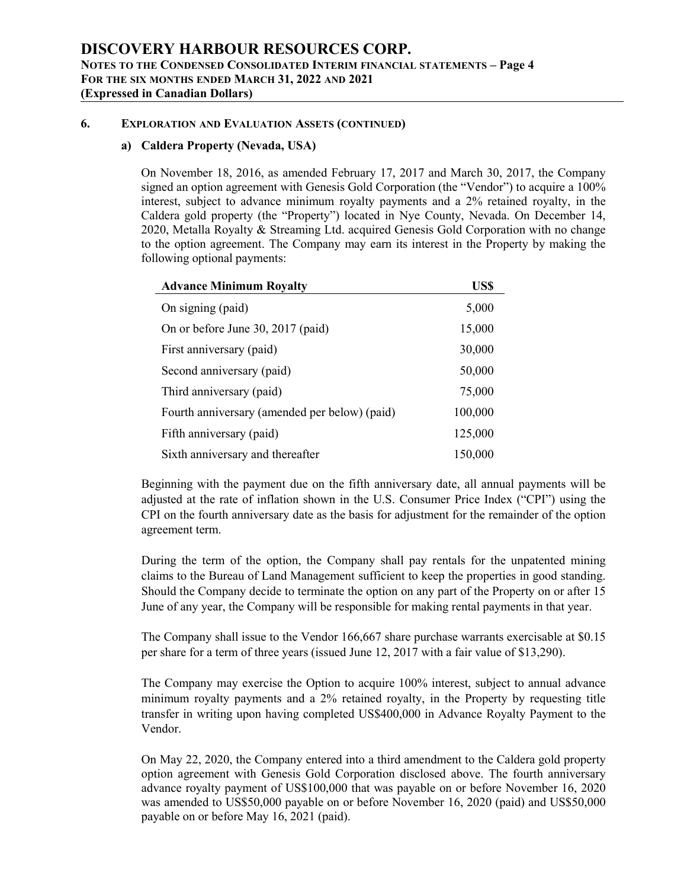## **6. EXPLORATION AND EVALUATION ASSETS (CONTINUED)**

## **a) Caldera Property (Nevada, USA)**

On November 18,2016, as amended February 17, 2017 and March 30, 2017, the Company signed an option agreement with Genesis Gold Corporation (the "Vendor") to acquire a 100% interest, subject to advance minimum royalty payments and a 2% retained royalty, in the Caldera gold property (the "Property") located in Nye County, Nevada. On December 14, 2020, Metalla Royalty & Streaming Ltd. acquired Genesis Gold Corporation with no change to the option agreement.The Company may earn its interest in the Property by making the following optional payments:

| <b>Advance Minimum Royalty</b>                | US\$    |
|-----------------------------------------------|---------|
| On signing (paid)                             | 5,000   |
| On or before June 30, 2017 (paid)             | 15,000  |
| First anniversary (paid)                      | 30,000  |
| Second anniversary (paid)                     | 50,000  |
| Third anniversary (paid)                      | 75,000  |
| Fourth anniversary (amended per below) (paid) | 100,000 |
| Fifth anniversary (paid)                      | 125,000 |
| Sixth anniversary and thereafter              | 150,000 |

Beginning with the payment due on the fifth anniversary date, all annual payments will be adjusted at the rate of inflation shown in the U.S. Consumer Price Index ("CPI") using the CPI on the fourth anniversary date as the basis for adjustment for the remainder of the option agreement term.

During the term of the option, the Company shall pay rentals for the unpatented mining claims to the Bureau of Land Management sufficient to keep the properties in good standing. Should the Company decide to terminate the option on any part of the Property on or after15 June of any year, the Company will be responsible for making rental payments in that year.

The Company shall issue to the Vendor 166,667 share purchase warrants exercisable at \$0.15 per share for a term of three years (issued June 12, 2017 with a fair value of \$13,290).

The Company may exercise the Option to acquire 100% interest, subject to annual advance minimum royalty payments and a 2% retained royalty, in the Property by requesting title transfer in writing upon having completed US\$400,000 in Advance Royalty Payment to the Vendor.

On May 22, 2020, the Company entered into a third amendment to the Caldera gold property option agreement with Genesis Gold Corporation disclosed above. The fourth anniversary advance royalty payment of US\$100,000 that was payable on or before November 16,2020 was amended to US\$50,000 payable on or before November 16,2020 (paid) and US\$50,000 payable on or before May 16, 2021 (paid).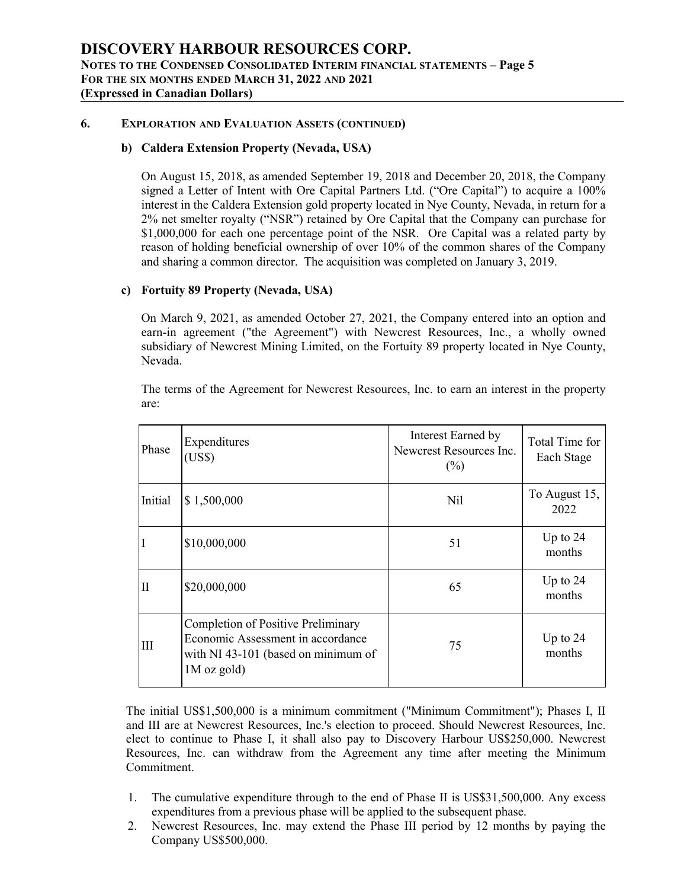## **6. EXPLORATION AND EVALUATION ASSETS (CONTINUED)**

## **b) Caldera Extension Property (Nevada, USA)**

On August 15,2018, as amended September 19, 2018 and December 20, 2018, the Company signed a Letter of Intent with Ore Capital Partners Ltd. ("Ore Capital") to acquire a 100% interest in the Caldera Extension gold property located in Nye County, Nevada, in return for a 2% net smelter royalty ("NSR") retained by Ore Capital that the Company can purchase for \$1,000,000 for each one percentage point of the NSR. Ore Capital was a related party by reason of holding beneficial ownership of over 10% of the common shares of the Company and sharing a common director. The acquisition was completed on January 3, 2019.

## **c) Fortuity 89 Property (Nevada, USA)**

On March 9, 2021, as amended October 27,2021, the Company entered into an option and earn-in agreement ("the Agreement") with Newcrest Resources, Inc., a wholly owned subsidiary of Newcrest Mining Limited, on the Fortuity 89 property located in Nye County, Nevada.

The terms of the Agreement for Newcrest Resources, Inc. to earn an interest in the property are:

| Phase        | Expenditures<br>(US\$)                                                                                                          | Interest Earned by<br>Newcrest Resources Inc.<br>$(\%)$ | Total Time for<br>Each Stage |
|--------------|---------------------------------------------------------------------------------------------------------------------------------|---------------------------------------------------------|------------------------------|
| Initial      | $\vert 1,500,000 \vert$                                                                                                         | N <sub>il</sub>                                         | To August 15,<br>2022        |
| I            | \$10,000,000                                                                                                                    | 51                                                      | Up to $24$<br>months         |
| $\mathbf{I}$ | \$20,000,000                                                                                                                    | 65                                                      | Up to $24$<br>months         |
| Ш            | Completion of Positive Preliminary<br>Economic Assessment in accordance<br>with NI 43-101 (based on minimum of<br>$1M$ oz gold) | 75                                                      | Up to $24$<br>months         |

The initial US\$1,500,000 is a minimum commitment ("Minimum Commitment"); Phases I, II and III are at Newcrest Resources, Inc.'s election to proceed. Should Newcrest Resources, Inc. elect to continue to Phase I, it shall also pay to Discovery Harbour US\$250,000. Newcrest Resources, Inc. can withdraw from the Agreement any time after meeting the Minimum Commitment.

- 1. The cumulative expenditure through to the end of Phase II is US\$31,500,000. Any excess expenditures from a previous phase will be applied to the subsequent phase.
- 2. Newcrest Resources, Inc. may extend the Phase III period by 12 months by paying the Company US\$500,000.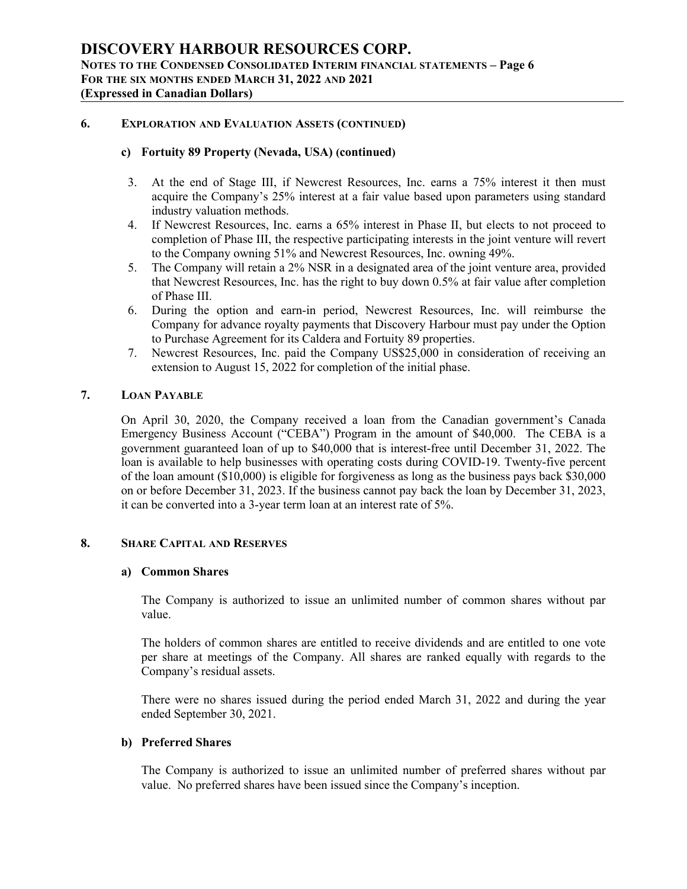## **6. EXPLORATION AND EVALUATION ASSETS (CONTINUED)**

## **c) Fortuity 89 Property (Nevada, USA) (continued)**

- 3. At the end of Stage III, if Newcrest Resources, Inc. earns a 75% interest it then must acquire the Company's 25% interest at a fair value based upon parameters using standard industry valuation methods.
- 4. If Newcrest Resources, Inc. earns a 65% interest in Phase II, but elects to not proceed to completion of Phase III, the respective participating interests in the joint venture will revert to the Company owning 51% and Newcrest Resources, Inc. owning 49%.
- 5. The Company will retain a 2% NSR in a designated area of the joint venture area, provided that Newcrest Resources, Inc. has the right to buy down 0.5% at fair value aftercompletion of Phase III.
- 6. During the option and earn-in period, Newcrest Resources, Inc. will reimburse the Company for advance royalty payments that Discovery Harbour must pay under the Option to Purchase Agreement for its Caldera and Fortuity 89 properties.
- 7. Newcrest Resources, Inc. paid the Company US\$25,000 in consideration of receiving an extension to August 15, 2022 for completion of the initial phase.

## **7. LOAN PAYABLE**

On April 30, 2020, the Company received a loan from the Canadian government's Canada Emergency Business Account ("CEBA") Program in the amount of \$40,000. The CEBA is a government guaranteed loan of up to \$40,000 that is interest-free until December 31,2022. The loan is available to help businesses with operating costs during COVID-19. Twenty-five percent of the loan amount (\$10,000) is eligible for forgiveness as long as the business pays back \$30,000 on or before December 31, 2023. If the business cannot pay back the loan by December 31, 2023, it can be converted into a 3-year term loan at an interest rate of 5%.

### **8. SHARE CAPITAL AND RESERVES**

#### **a) Common Shares**

The Company is authorized to issue an unlimited number of common shares without par value.

The holders of common shares are entitled to receive dividends and are entitled to one vote per share at meetings of the Company. All shares are ranked equally with regards to the Company's residual assets.

There were no shares issued during the period ended March 31, 2022 and during the year ended September 30, 2021.

## **b) Preferred Shares**

The Company is authorized to issue an unlimited number of preferred shares without par value. No preferred shares have been issued since the Company's inception.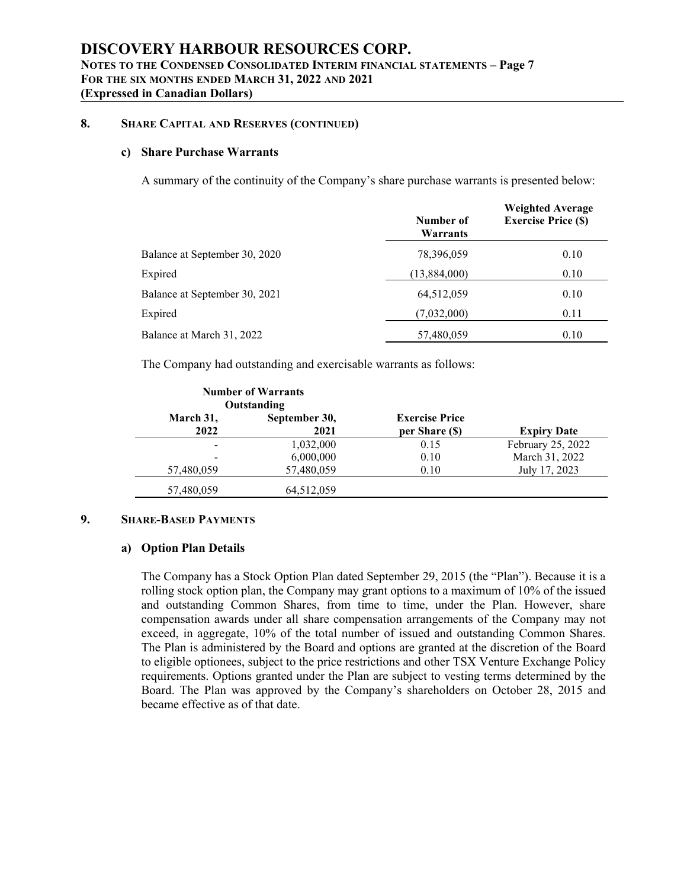## **8. SHARE CAPITAL AND RESERVES (CONTINUED)**

#### **c) Share Purchase Warrants**

A summary of the continuity of the Company's share purchase warrants is presented below:

|                               | <b>Weighted Average</b> |                            |  |
|-------------------------------|-------------------------|----------------------------|--|
|                               | Number of<br>Warrants   | <b>Exercise Price (\$)</b> |  |
| Balance at September 30, 2020 | 78,396,059              | 0.10                       |  |
| Expired                       | (13,884,000)            | 0.10                       |  |
| Balance at September 30, 2021 | 64,512,059              | 0.10                       |  |
| Expired                       | (7,032,000)             | 0.11                       |  |
| Balance at March 31, 2022     | 57,480,059              | 0.10                       |  |

The Company had outstanding and exercisable warrants as follows:

|                          | <b>Number of Warrants</b><br>Outstanding |                                         |                    |
|--------------------------|------------------------------------------|-----------------------------------------|--------------------|
| March 31,<br>2022        | September 30,<br>2021                    | <b>Exercise Price</b><br>per Share (\$) | <b>Expiry Date</b> |
| $\overline{\phantom{a}}$ | 1,032,000                                | 0.15                                    | February 25, 2022  |
| $\overline{\phantom{a}}$ | 6,000,000                                | 0.10                                    | March 31, 2022     |
| 57,480,059               | 57,480,059                               | 0.10                                    | July 17, 2023      |
| 57,480,059               | 64,512,059                               |                                         |                    |

## **9. SHARE-BASED PAYMENTS**

#### **a) Option Plan Details**

The Company has a Stock Option Plan dated September 29, 2015 (the "Plan"). Because it is a rolling stock option plan, the Company may grant options to a maximum of 10% of the issued and outstanding Common Shares, from time to time, under the Plan. However, share compensation awards under all share compensation arrangements of the Company may not exceed, in aggregate, 10% of the total number of issued and outstanding Common Shares. The Plan is administered by the Board and options are granted at the discretion of the Board to eligible optionees, subject to the price restrictions and other TSX Venture Exchange Policy requirements. Options granted under the Plan are subject to vesting terms determined by the Board. The Plan was approved by the Company's shareholders on October 28, 2015 and became effective as of that date.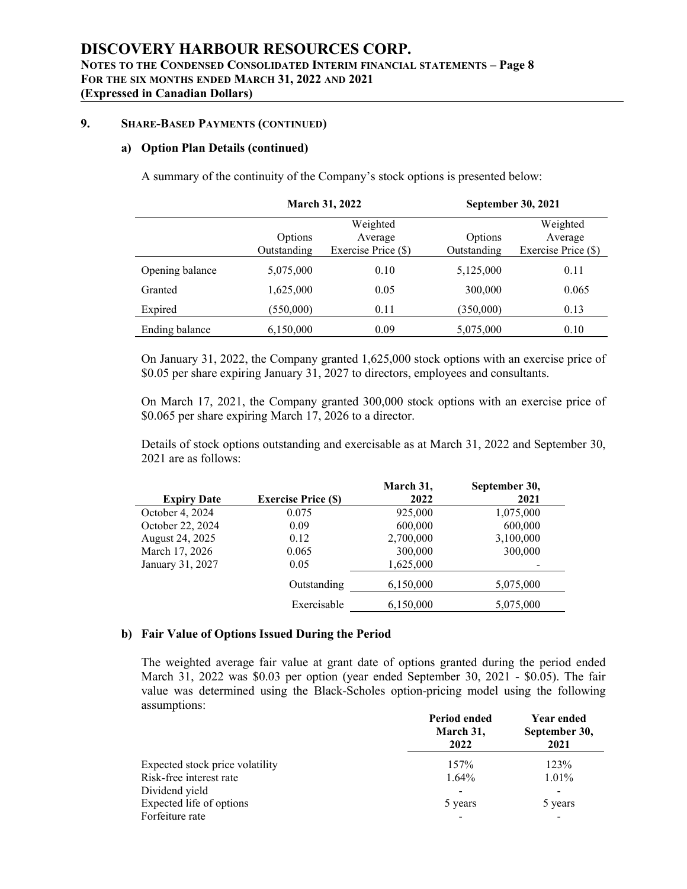## **9. SHARE-BASED PAYMENTS (CONTINUED)**

## **a) Option Plan Details(continued)**

A summary of the continuity of the Company's stock options is presented below:

|                 |                        | <b>March 31, 2022</b>                      |                        | <b>September 30, 2021</b>                  |  |
|-----------------|------------------------|--------------------------------------------|------------------------|--------------------------------------------|--|
|                 | Options<br>Outstanding | Weighted<br>Average<br>Exercise Price (\$) | Options<br>Outstanding | Weighted<br>Average<br>Exercise Price (\$) |  |
| Opening balance | 5,075,000              | 0.10                                       | 5,125,000              | 0.11                                       |  |
| Granted         | 1,625,000              | 0.05                                       | 300,000                | 0.065                                      |  |
| Expired         | (550,000)              | 0.11                                       | (350,000)              | 0.13                                       |  |
| Ending balance  | 6,150,000              | 0.09                                       | 5,075,000              | 0.10                                       |  |

On January 31, 2022, the Company granted 1,625,000 stock options with an exercise price of \$0.05 per share expiring January 31, 2027 to directors, employees and consultants.

On March 17, 2021, the Company granted 300,000 stock options with an exercise price of \$0.065 per share expiring March 17, 2026 to a director.

Details of stock options outstanding and exercisable as at March 31, 2022 and September 30, 2021 are as follows:

|                    |                           | March 31, | September 30, |
|--------------------|---------------------------|-----------|---------------|
| <b>Expiry Date</b> | <b>Exercise Price (S)</b> | 2022      | 2021          |
| October 4, 2024    | 0.075                     | 925,000   | 1,075,000     |
| October 22, 2024   | 0.09                      | 600,000   | 600,000       |
| August 24, 2025    | 0.12                      | 2,700,000 | 3,100,000     |
| March 17, 2026     | 0.065                     | 300,000   | 300,000       |
| January 31, 2027   | 0.05                      | 1,625,000 |               |
|                    | Outstanding               | 6,150,000 | 5,075,000     |
|                    | Exercisable               | 6,150,000 | 5,075,000     |

## **b) Fair Value of Options Issued During the Period**

The weighted average fair value at grant date of options granted during the period ended March 31, 2022 was \$0.03 per option (year ended September 30, 2021 - \$0.05). The fair value was determined using the Black-Scholes option-pricing model using the following assumptions:

|                                 | Period ended<br>March 31,<br>2022 | <b>Year ended</b><br>September 30,<br>2021 |
|---------------------------------|-----------------------------------|--------------------------------------------|
| Expected stock price volatility | 157%                              | 123%                                       |
| Risk-free interest rate         | $1.64\%$                          | 1.01%                                      |
| Dividend yield                  |                                   |                                            |
| Expected life of options        | 5 years                           | 5 years                                    |
| Forfeiture rate                 | $\qquad \qquad \blacksquare$      | $\overline{\phantom{a}}$                   |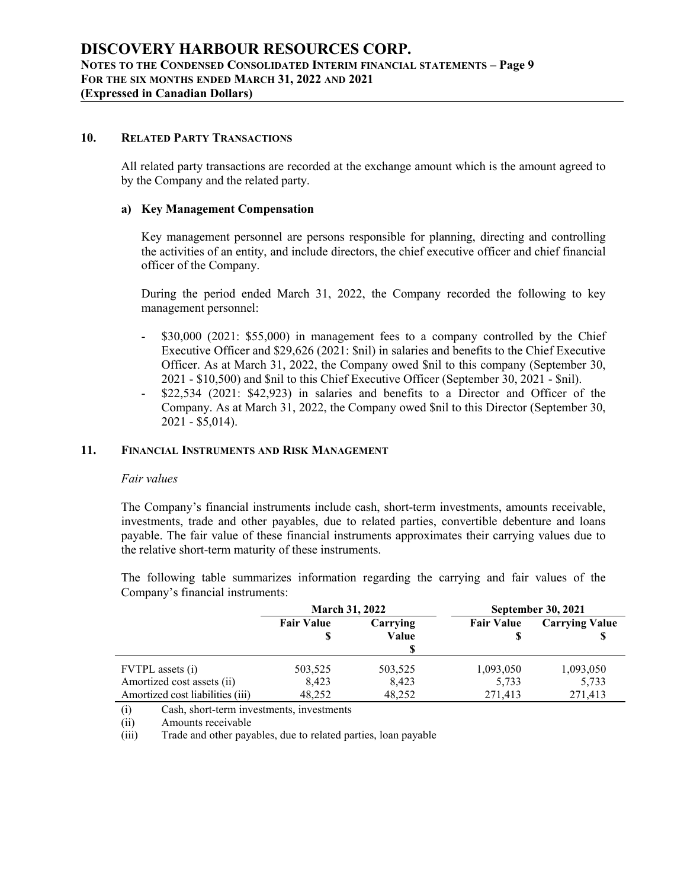## **10. RELATED PARTY TRANSACTIONS**

All related party transactions are recorded at the exchange amount which is the amount agreed to by the Company and the related party.

## **a) Key Management Compensation**

Key management personnel are persons responsible for planning, directing and controlling the activities ofan entity, and include directors, the chief executive officer and chief financial officer of the Company.

During the period ended March 31, 2022, the Company recorded the following to key management personnel:

- \$30,000 (2021: \$55,000) in management fees to a company controlled by the Chief Executive Officer and \$29,626 (2021: \$nil) in salaries and benefits to the Chief Executive Officer. As at March 31, 2022, the Company owed \$nil to this company (September 30, 2021 - \$10,500) and \$nil to this Chief Executive Officer (September 30, 2021 - \$nil).
- \$22,534 (2021: \$42,923) in salaries and benefits to a Director and Officer of the Company. As at March 31, 2022, the Company owed \$nil to this Director (September 30, 2021 - \$5,014).

## **11. FINANCIAL INSTRUMENTS AND RISK MANAGEMENT**

#### *Fair values*

The Company's financial instruments include cash, short-term investments, amounts receivable, investments, trade and other payables, due to related parties, convertible debenture and loans payable. The fair value of these financial instruments approximates their carrying values due to the relative short-term maturity of these instruments.

The following table summarizes information regarding the carrying and fair values of the Company's financial instruments:

|                                  | <b>March 31, 2022</b>  |                   | <b>September 30, 2021</b> |                       |  |
|----------------------------------|------------------------|-------------------|---------------------------|-----------------------|--|
|                                  | <b>Fair Value</b><br>S | Carrying<br>Value | <b>Fair Value</b>         | <b>Carrying Value</b> |  |
| <b>FVTPL</b> assets (i)          | 503,525                | 503,525           | 1,093,050                 | 1,093,050             |  |
| Amortized cost assets (ii)       | 8,423                  | 8,423             | 5,733                     | 5,733                 |  |
| Amortized cost liabilities (iii) | 48,252                 | 48,252            | 271.413                   | 271.413               |  |

(i) Cash, short-term investments, investments

(ii) Amounts receivable

(iii) Trade and other payables, due to related parties, loan payable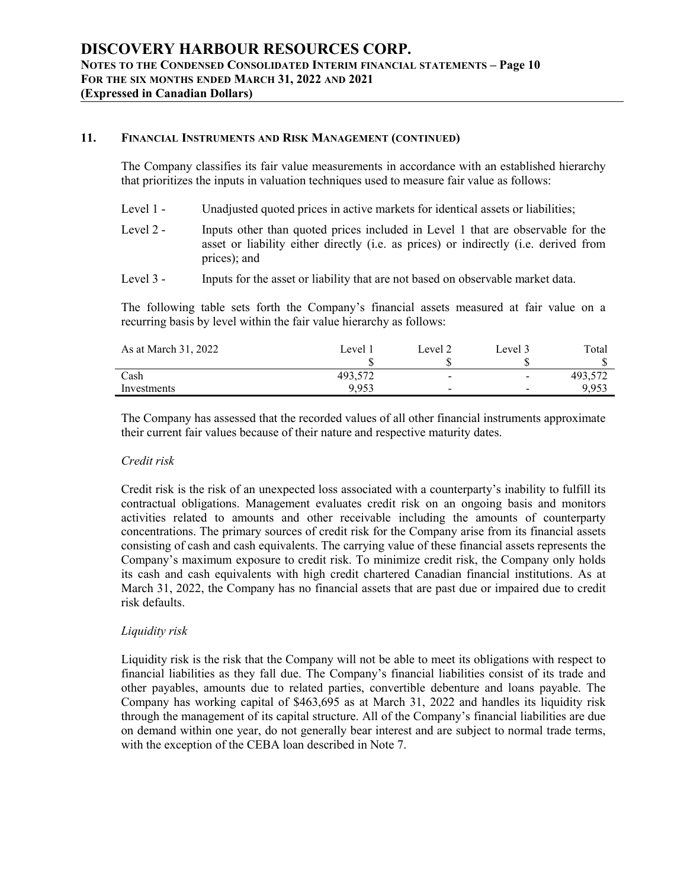## **11. FINANCIAL INSTRUMENTS AND RISK MANAGEMENT (CONTINUED)**

The Company classifies its fair value measurements in accordance with an established hierarchy that prioritizes the inputs in valuation techniques used to measure fair value as follows:

- Level 1 Unadjusted quoted prices in active markets for identical assets or liabilities;
- Level 2 Inputs other than quoted prices included in Level 1 that are observable for the asset or liability either directly (i.e. as prices) or indirectly (i.e. derived from prices); and
- Level 3 Inputs for the asset or liability that are not based on observable market data.

The following table sets forth the Company's financial assets measured at fair value on a recurring basis by level within the fair value hierarchy as follows:

| As at March 31, 2022 | Level 1 | Level 2                  | Level 3        | Total   |  |
|----------------------|---------|--------------------------|----------------|---------|--|
| Cash                 | 493,572 | $\overline{\phantom{a}}$ | $\blacksquare$ | 493,572 |  |
| Investments          | 9,953   | $\sim$                   | $\sim$         | 9,953   |  |
|                      |         |                          |                |         |  |

The Company has assessed that the recorded values of all other financial instruments approximate their current fair values because of their nature and respective maturity dates.

## *Credit risk*

Credit risk is the risk of an unexpected loss associated with a counterparty's inability to fulfill its contractual obligations. Management evaluates credit risk on an ongoing basis and monitors activities related to amounts and other receivable including the amounts of counterparty concentrations. The primary sources of credit risk for the Company arise from its financial assets consisting of cash and cash equivalents. The carrying value of these financial assets represents the Company's maximum exposure to credit risk. To minimize credit risk, the Company only holds its cash and cash equivalents with high credit chartered Canadian financial institutions. As at March 31, 2022, the Company has no financial assets that are past due or impaired due to credit risk defaults.

## *Liquidity risk*

Liquidity risk is the risk that the Company will not be able to meet its obligations with respect to financial liabilities as they fall due. The Company's financial liabilities consist of its trade and other payables, amounts due to related parties, convertible debenture and loans payable. The Company has working capital of \$463,695 as at March 31, 2022 and handles its liquidity risk through the management of its capital structure. All of the Company's financial liabilities are due on demand within one year, do not generally bear interest and are subject to normal trade terms, with the exception of the CEBA loan described in Note 7.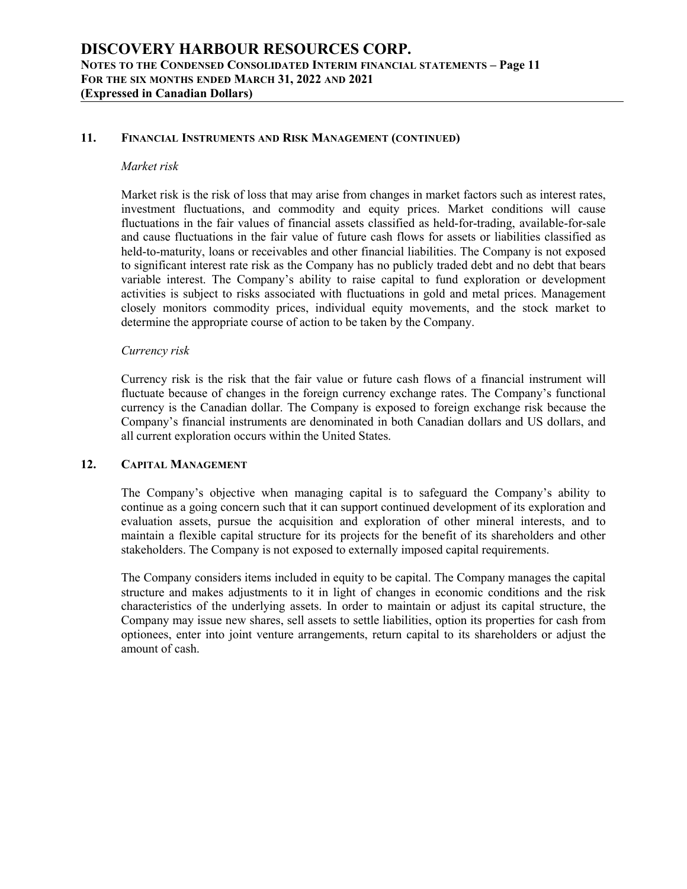## **11. FINANCIAL INSTRUMENTS AND RISK MANAGEMENT (CONTINUED)**

#### *Market risk*

Market risk is the risk of loss that may arise from changes in market factors such as interest rates, investment fluctuations, and commodity and equity prices. Market conditions will cause fluctuations in the fair values of financial assets classified as held-for-trading, available-for-sale and cause fluctuations in the fair value of future cash flows for assets or liabilities classified as held-to-maturity, loans or receivables and other financial liabilities. The Company is not exposed to significant interest rate risk as the Company has no publicly traded debt and no debt that bears variable interest. The Company's ability to raise capital to fund exploration or development activities is subject to risks associated with fluctuations in gold and metal prices. Management closely monitors commodity prices, individual equity movements, and the stock market to determine the appropriate course of action to be taken by the Company.

## *Currency risk*

Currency risk is the risk that the fair value or future cash flows of a financial instrument will fluctuate because of changes in the foreign currency exchange rates. The Company's functional currency is the Canadian dollar. The Company is exposed to foreign exchange risk because the Company's financial instruments are denominated in both Canadian dollars and US dollars, and all current exploration occurs within the United States.

## **12. CAPITAL MANAGEMENT**

The Company's objective when managing capital is to safeguard the Company's ability to continue as a going concern such that it can support continued development of its exploration and evaluation assets, pursue the acquisition and exploration of other mineral interests, and to maintain a flexible capital structure for its projects for the benefit of its shareholders and other stakeholders. The Company is not exposed to externally imposed capital requirements.

The Company considers items included in equity to be capital. The Company manages the capital structure and makes adjustments to it in light of changes in economic conditions and the risk characteristics of the underlying assets. In order to maintain or adjust its capital structure, the Company may issue new shares, sell assets to settle liabilities, option its properties for cash from optionees, enter into joint venture arrangements, return capital to its shareholders or adjust the amount of cash.